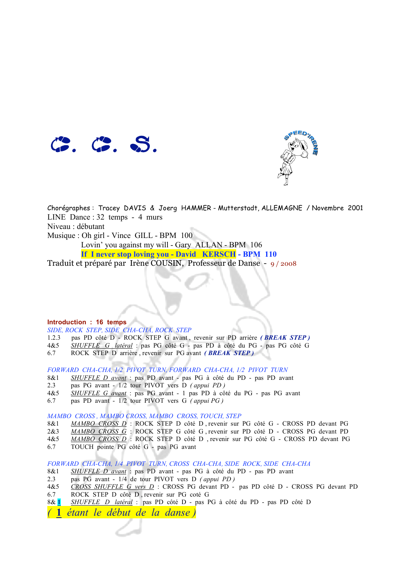



Chorégraphes : Tracey DAVIS & Joerg HAMMER - Mutterstadt, ALLEMAGNE / Novembre 2001 LINE Dance : 32 temps - 4 murs Niveau : débutant Musique : Oh girl - Vince GILL - BPM 100 Lovin' you against my will - Gary ALLAN - BPM 106  **If I never stop loving you - David KERSCH - BPM 110** 

Traduit et préparé par Irène COUSIN, Professeur de Danse - 9 / 2008

## **Introduction : 16 temps**

*SIDE, ROCK STEP, SIDE CHA-CHA, ROCK STEP*

- 1.2.3 pas PD côté D ROCK STEP G avant , revenir sur PD arrière *( BREAK STEP )*
- 4&5 *SHUFFLE G latéral* : pas PG côté G pas PD à côté du PG pas PG côté G
- 6.7 ROCK STEP D arrière , revenir sur PG avant *( BREAK STEP )*

*FORWARD CHA-CHA, 1/2 PIVOT TURN, FORWARD CHA-CHA, 1/2 PIVOT TURN*

- 8&1 *SHUFFLE D avant* : pas PD avant pas PG à côté du PD pas PD avant
- 2.3 pas PG avant 1/2 tour PIVOT vers D *( appui PD )*
- 4&5 *SHUFFLE G avant* : pas PG avant 1 pas PD à côté du PG pas PG avant
- 6.7 pas PD avant 1/2 tour PIVOT vers G *( appui PG )*

*MAMBO CROSS , MAMBO CROSS, MAMBO CROSS, TOUCH, STEP*

- 8&1 *MAMBO CROSS D* : ROCK STEP D côté D , revenir sur PG côté G CROSS PD devant PG
- 2&3 *MAMBO CROSS G* : ROCK STEP G côté G , revenir sur PD côté D CROSS PG devant PD
- 4&5 *MAMBO CROSS D* : ROCK STEP D côté D , revenir sur PG côté G CROSS PD devant PG
- 6.7 TOUCH pointe PG côté G pas PG avant

*FORWARD CHA-CHA, 1/4 PIVOT TURN, CROSS CHA-CHA, SIDE ROCK, SIDE CHA-CHA*

- 8&1 *SHUFFLE D avant* : pas PD avant pas PG à côté du PD pas PD avant
- 2.3 pas PG avant 1/4 de tour PIVOT vers D *( appui PD )*
- 4&5 *CROSS SHUFFLE G vers D* : CROSS PG devant PD pas PD côté D CROSS PG devant PD
- 6.7 ROCK STEP D côté D , revenir sur PG coté G
- 8& **1** *SHUFFLE D latéral* : pas PD côté D pas PG à côté du PD pas PD côté D
- *(* **1** *étant le début de la danse )*